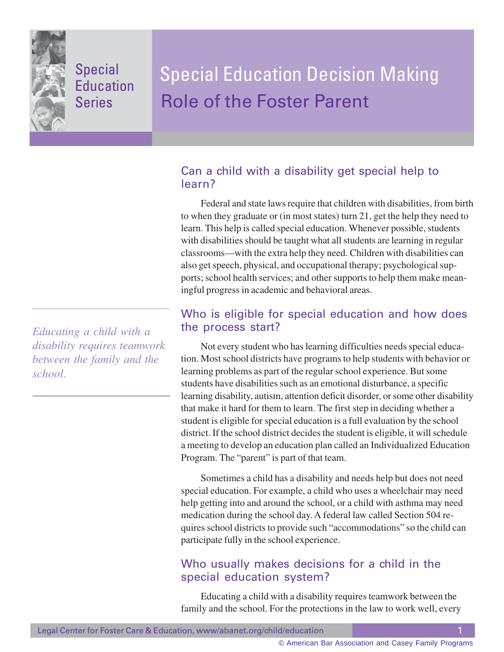

# Special **Education** Series

# Special Education Decision Making Role of the Foster Parent

## Can a child with a disability get special help to learn?

Federal and state laws require that children with disabilities, from birth to when they graduate or (in most states) turn 21, get the help they need to learn. This help is called special education. Whenever possible, students with disabilities should be taught what all students are learning in regular classrooms—with the extra help they need. Children with disabilities can also get speech, physical, and occupational therapy; psychological supports; school health services; and other supports to help them make meaningful progress in academic and behavioral areas.

## Who is eligible for special education and how does the process start?

Not every student who has learning difficulties needs special education. Most school districts have programs to help students with behavior or learning problems as part of the regular school experience. But some students have disabilities such as an emotional disturbance, a specific learning disability, autism, attention deficit disorder, or some other disability that make it hard for them to learn. The first step in deciding whether a student is eligible for special education is a full evaluation by the school district. If the school district decides the student is eligible, it will schedule a meeting to develop an education plan called an Individualized Education Program. The "parent" is part of that team.

Sometimes a child has a disability and needs help but does not need special education. For example, a child who uses a wheelchair may need help getting into and around the school, or a child with asthma may need medication during the school day. A federal law called Section 504 requires school districts to provide such "accommodations" so the child can participate fully in the school experience.

## Who usually makes decisions for a child in the special education system?

Educating a child with a disability requires teamwork between the family and the school. For the protections in the law to work well, every

*Educating a child with a disability requires teamwork between the family and the school.*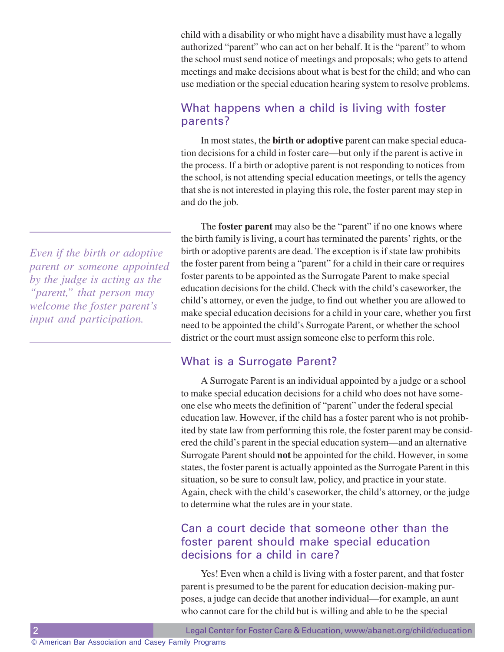child with a disability or who might have a disability must have a legally authorized "parent" who can act on her behalf. It is the "parent" to whom the school must send notice of meetings and proposals; who gets to attend meetings and make decisions about what is best for the child; and who can use mediation or the special education hearing system to resolve problems.

#### What happens when a child is living with foster parents?

In most states, the **birth or adoptive** parent can make special education decisions for a child in foster care—but only if the parent is active in the process. If a birth or adoptive parent is not responding to notices from the school, is not attending special education meetings, or tells the agency that she is not interested in playing this role, the foster parent may step in and do the job.

The **foster parent** may also be the "parent" if no one knows where the birth family is living, a court has terminated the parents' rights, or the birth or adoptive parents are dead. The exception is if state law prohibits the foster parent from being a "parent" for a child in their care or requires foster parents to be appointed as the Surrogate Parent to make special education decisions for the child. Check with the child's caseworker, the child's attorney, or even the judge, to find out whether you are allowed to make special education decisions for a child in your care, whether you first need to be appointed the child's Surrogate Parent, or whether the school district or the court must assign someone else to perform this role.

#### What is a Surrogate Parent?

A Surrogate Parent is an individual appointed by a judge or a school to make special education decisions for a child who does not have someone else who meets the definition of "parent" under the federal special education law. However, if the child has a foster parent who is not prohibited by state law from performing this role, the foster parent may be considered the child's parent in the special education system—and an alternative Surrogate Parent should **not** be appointed for the child. However, in some states, the foster parent is actually appointed as the Surrogate Parent in this situation, so be sure to consult law, policy, and practice in your state. Again, check with the child's caseworker, the child's attorney, or the judge to determine what the rules are in your state.

#### Can a court decide that someone other than the foster parent should make special education decisions for a child in care?

Yes! Even when a child is living with a foster parent, and that foster parent is presumed to be the parent for education decision-making purposes, a judge can decide that another individual—for example, an aunt who cannot care for the child but is willing and able to be the special

*Even if the birth or adoptive parent or someone appointed by the judge is acting as the "parent," that person may welcome the foster parent's input and participation.*